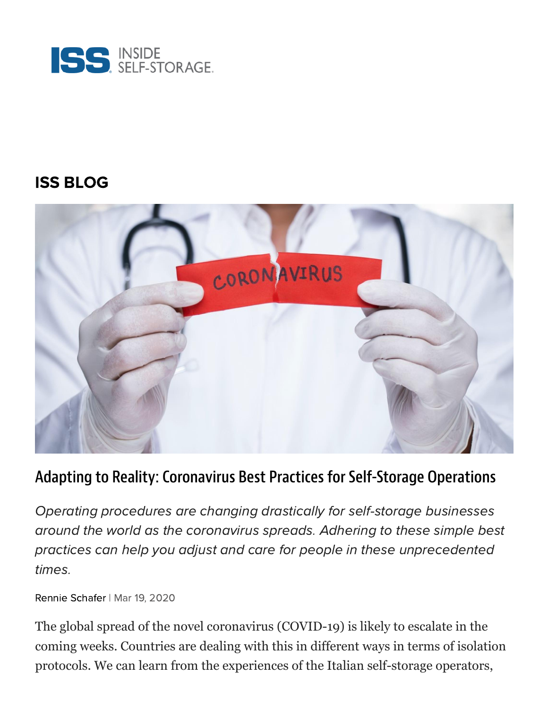

### [ISS BLOG](https://www.insideselfstorage.com/iss-blog)



#### Adapting to Reality: Coronavirus Best Practices for Self-Storage Operations

Operating procedures are changing drastically for self-storage businesses around the world as the coronavirus spreads. Adhering to these simple best practices can help you adjust and care for people in these unprecedented times.

Rennie [Schafer](https://www.insideselfstorage.com/author/Rennie-Schafer) | Mar 19, 2020

The global spread of the novel coronavirus (COVID-19) is likely to escalate in the coming weeks. Countries are dealing with this in different ways in terms of isolation protocols. We can learn from the experiences of the Italian self-storage operators,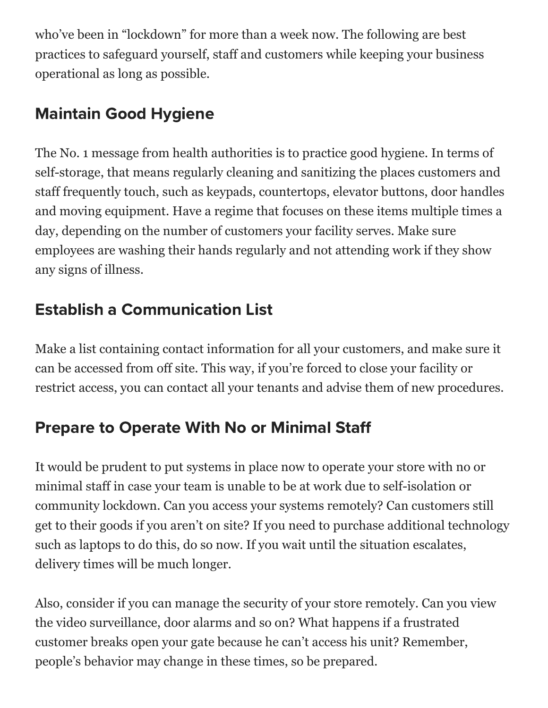who've been in "lockdown" for more than a week now. The following are best practices to safeguard yourself, staff and customers while keeping your business operational as long as possible.

## Maintain Good Hygiene

The No. 1 message from health authorities is to practice good hygiene. In terms of self-storage, that means regularly cleaning and sanitizing the places customers and staff frequently touch, such as keypads, countertops, elevator buttons, door handles and moving equipment. Have a regime that focuses on these items multiple times a day, depending on the number of customers your facility serves. Make sure employees are washing their hands regularly and not attending work if they show any signs of illness.

# Establish a Communication List

Make a list containing contact information for all your customers, and make sure it can be accessed from off site. This way, if you're forced to close your facility or restrict access, you can contact all your tenants and advise them of new procedures.

## Prepare to Operate With No or Minimal Sta

It would be prudent to put systems in place now to operate your store with no or minimal staff in case your team is unable to be at work due to self-isolation or community lockdown. Can you access your systems remotely? Can customers still get to their goods if you aren't on site? If you need to purchase additional technology such as laptops to do this, do so now. If you wait until the situation escalates, delivery times will be much longer.

Also, consider if you can manage the security of your store remotely. Can you view the video surveillance, door alarms and so on? What happens if a frustrated customer breaks open your gate because he can't access his unit? Remember, people's behavior may change in these times, so be prepared.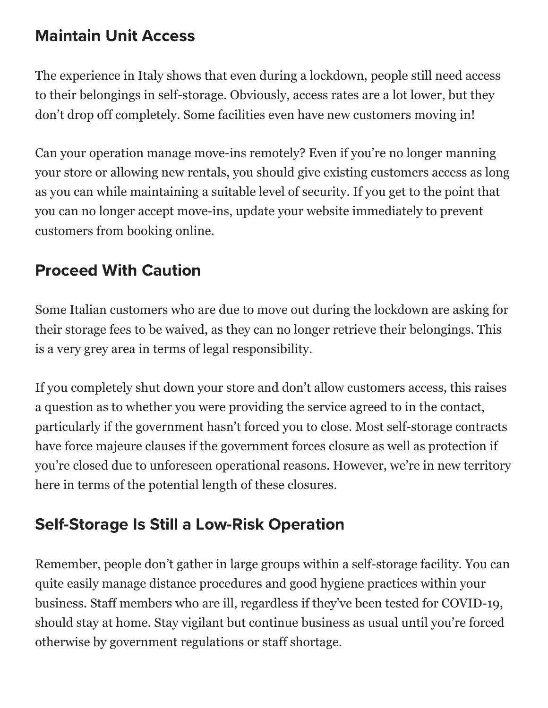### Maintain Unit Access

The experience in Italy shows that even during a lockdown, people still need access to their belongings in self-storage. Obviously, access rates are a lot lower, but they don't drop off completely. Some facilities even have new customers moving in!

Can your operation manage move-ins remotely? Even if you're no longer manning your store or allowing new rentals, you should give existing customers access as long as you can while maintaining a suitable level of security. If you get to the point that you can no longer accept move-ins, update your website immediately to prevent customers from booking online.

## Proceed With Caution

Some Italian customers who are due to move out during the lockdown are asking for their storage fees to be waived, as they can no longer retrieve their belongings. This is a very grey area in terms of legal responsibility.

If you completely shut down your store and don't allow customers access, this raises a question as to whether you were providing the service agreed to in the contact, particularly if the government hasn't forced you to close. Most self-storage contracts have force majeure clauses if the government forces closure as well as protection if you're closed due to unforeseen operational reasons. However, we're in new territory here in terms of the potential length of these closures.

## Self-Storage Is Still a Low-Risk Operation

Remember, people don't gather in large groups within a self-storage facility. You can quite easily manage distance procedures and good hygiene practices within your business. Staff members who are ill, regardless if they've been tested for COVID-19, should stay at home. Stay vigilant but continue business as usual until you're forced otherwise by government regulations or staff shortage.